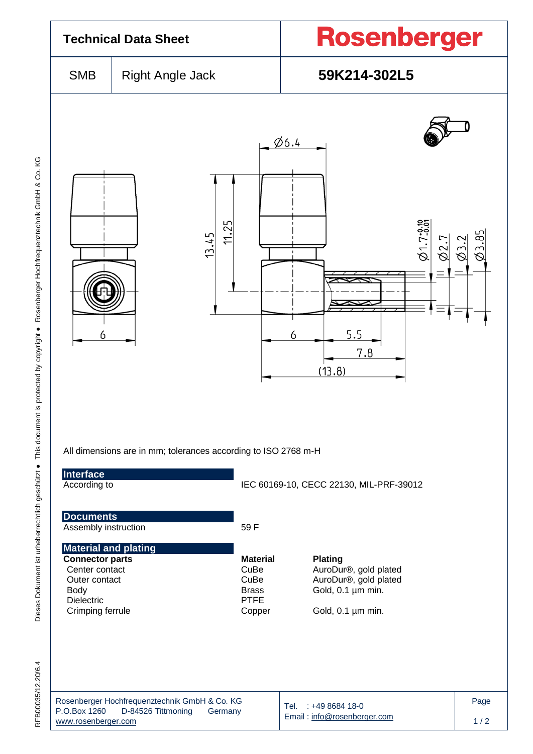